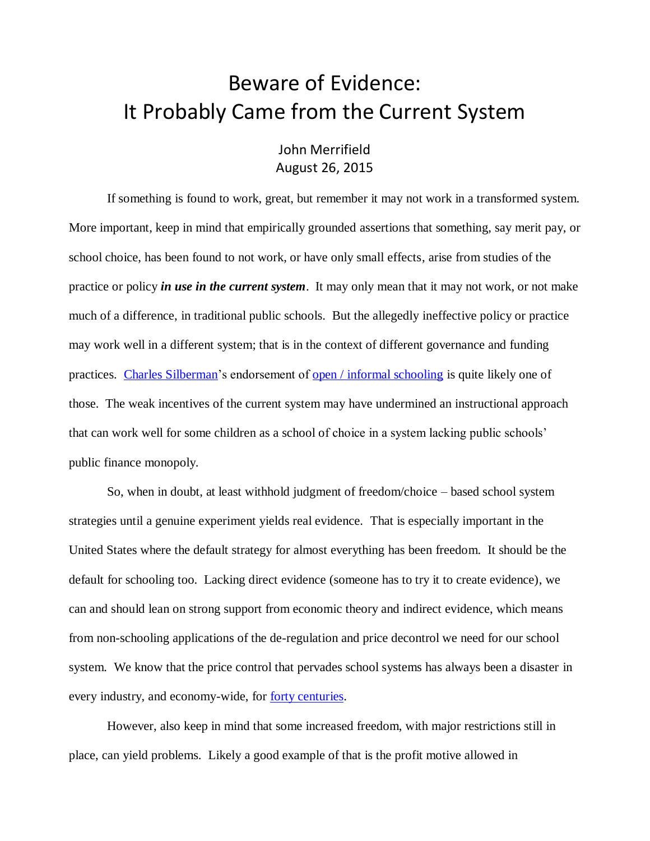## Beware of Evidence: It Probably Came from the Current System

## John Merrifield August 26, 2015

If something is found to work, great, but remember it may not work in a transformed system. More important, keep in mind that empirically grounded assertions that something, say merit pay, or school choice, has been found to not work, or have only small effects, arise from studies of the practice or policy *in use in the current system*. It may only mean that it may not work, or not make much of a difference, in traditional public schools. But the allegedly ineffective policy or practice may work well in a different system; that is in the context of different governance and funding practices. [Charles Silberman'](http://www.schoolsystemreformstudies.net/wp-content/uploads/2017/02/Dumbing-Down-to-Guard-Self-Esteem.pdf)s endorsement of [open / informal schooling](http://educationnext.org/theopenclassroom/) is quite likely one of those. The weak incentives of the current system may have undermined an instructional approach that can work well for some children as a school of choice in a system lacking public schools' public finance monopoly.

So, when in doubt, at least withhold judgment of freedom/choice – based school system strategies until a genuine experiment yields real evidence. That is especially important in the United States where the default strategy for almost everything has been freedom. It should be the default for schooling too. Lacking direct evidence (someone has to try it to create evidence), we can and should lean on strong support from economic theory and indirect evidence, which means from non-schooling applications of the de-regulation and price decontrol we need for our school system. We know that the price control that pervades school systems has always been a disaster in every industry, and economy-wide, for <u>forty centuries</u>.

However, also keep in mind that some increased freedom, with major restrictions still in place, can yield problems. Likely a good example of that is the profit motive allowed in